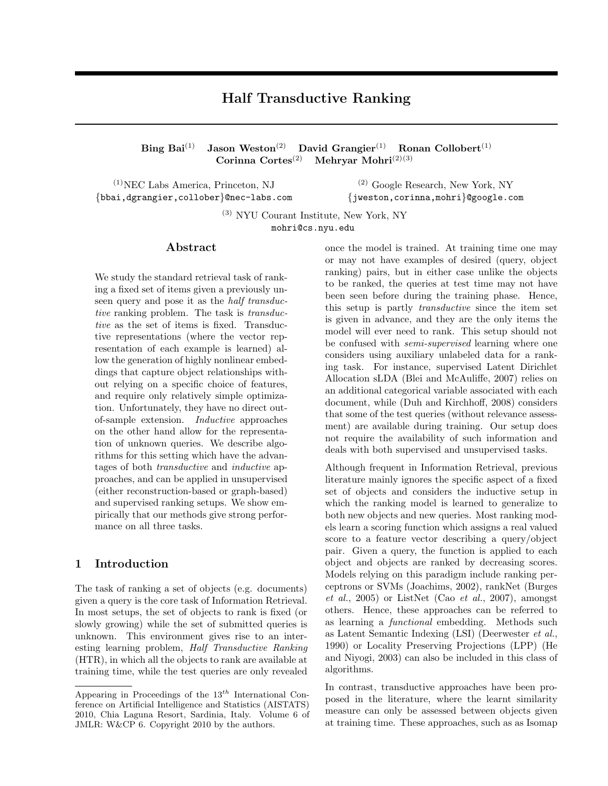### Half Transductive Ranking

Bing Bai<sup>(1)</sup> Jason Weston<sup>(2)</sup> David Grangier<sup>(1)</sup> Ronan Collobert<sup>(1)</sup> Corinna Cortes<sup>(2)</sup> Mehryar Mohri<sup>(2)(3)</sup> Mehryar Mohri $^{(2)(3)}$ 

 $(1)$ NEC Labs America, Princeton, NJ {bbai,dgrangier,collober}@nec-labs.com

(2) Google Research, New York, NY {jweston,corinna,mohri}@google.com

(3) NYU Courant Institute, New York, NY mohri@cs.nyu.edu

#### Abstract

We study the standard retrieval task of ranking a fixed set of items given a previously unseen query and pose it as the *half transduc*tive ranking problem. The task is *transduc*tive as the set of items is fixed. Transductive representations (where the vector representation of each example is learned) allow the generation of highly nonlinear embeddings that capture object relationships without relying on a specific choice of features, and require only relatively simple optimization. Unfortunately, they have no direct outof-sample extension. Inductive approaches on the other hand allow for the representation of unknown queries. We describe algorithms for this setting which have the advantages of both *transductive* and *inductive* approaches, and can be applied in unsupervised (either reconstruction-based or graph-based) and supervised ranking setups. We show empirically that our methods give strong performance on all three tasks.

#### 1 Introduction

The task of ranking a set of objects (e.g. documents) given a query is the core task of Information Retrieval. In most setups, the set of objects to rank is fixed (or slowly growing) while the set of submitted queries is unknown. This environment gives rise to an interesting learning problem, Half Transductive Ranking (HTR), in which all the objects to rank are available at training time, while the test queries are only revealed

once the model is trained. At training time one may or may not have examples of desired (query, object ranking) pairs, but in either case unlike the objects to be ranked, the queries at test time may not have been seen before during the training phase. Hence, this setup is partly transductive since the item set is given in advance, and they are the only items the model will ever need to rank. This setup should not be confused with semi-supervised learning where one considers using auxiliary unlabeled data for a ranking task. For instance, supervised Latent Dirichlet Allocation sLDA (Blei and McAuliffe, 2007) relies on an additional categorical variable associated with each document, while (Duh and Kirchhoff, 2008) considers that some of the test queries (without relevance assessment) are available during training. Our setup does not require the availability of such information and deals with both supervised and unsupervised tasks.

Although frequent in Information Retrieval, previous literature mainly ignores the specific aspect of a fixed set of objects and considers the inductive setup in which the ranking model is learned to generalize to both new objects and new queries. Most ranking models learn a scoring function which assigns a real valued score to a feature vector describing a query/object pair. Given a query, the function is applied to each object and objects are ranked by decreasing scores. Models relying on this paradigm include ranking perceptrons or SVMs (Joachims, 2002), rankNet (Burges  $et \ al.,\ 2005$  or ListNet (Cao  $et \ al.,\ 2007$ ), amongst others. Hence, these approaches can be referred to as learning a functional embedding. Methods such as Latent Semantic Indexing (LSI) (Deerwester et al., 1990) or Locality Preserving Projections (LPP) (He and Niyogi, 2003) can also be included in this class of algorithms.

In contrast, transductive approaches have been proposed in the literature, where the learnt similarity measure can only be assessed between objects given at training time. These approaches, such as as Isomap

Appearing in Proceedings of the  $13<sup>th</sup>$  International Conference on Artificial Intelligence and Statistics (AISTATS) 2010, Chia Laguna Resort, Sardinia, Italy. Volume 6 of JMLR: W&CP 6. Copyright 2010 by the authors.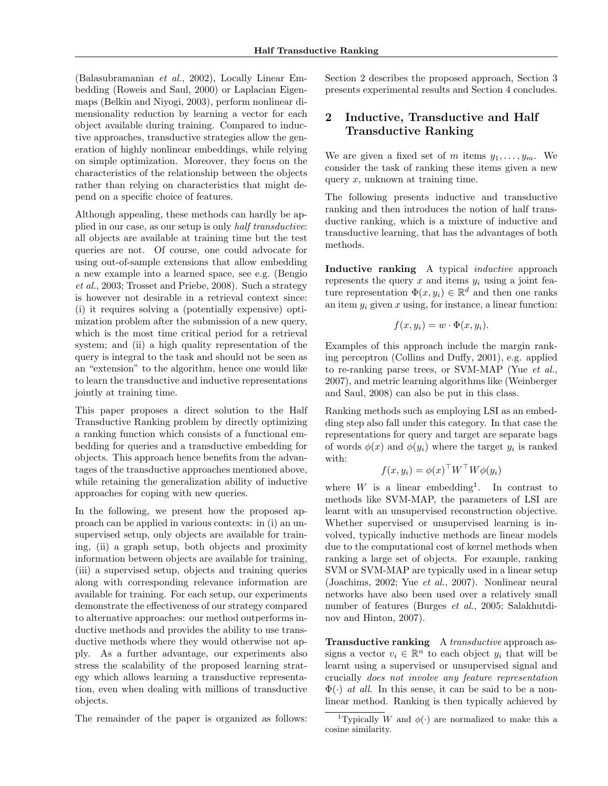(Balasubramanian et al., 2002), Locally Linear Embedding (Roweis and Saul, 2000) or Laplacian Eigenmaps (Belkin and Niyogi, 2003), perform nonlinear dimensionality reduction by learning a vector for each object available during training. Compared to inductive approaches, transductive strategies allow the generation of highly nonlinear embeddings, while relying on simple optimization. Moreover, they focus on the characteristics of the relationship between the objects rather than relying on characteristics that might depend on a specific choice of features.

Although appealing, these methods can hardly be applied in our case, as our setup is only half transductive: all objects are available at training time but the test queries are not. Of course, one could advocate for using out-of-sample extensions that allow embedding a new example into a learned space, see e.g. (Bengio et al., 2003; Trosset and Priebe, 2008). Such a strategy is however not desirable in a retrieval context since: (i) it requires solving a (potentially expensive) optimization problem after the submission of a new query, which is the most time critical period for a retrieval system; and (ii) a high quality representation of the query is integral to the task and should not be seen as an "extension" to the algorithm, hence one would like to learn the transductive and inductive representations jointly at training time.

This paper proposes a direct solution to the Half Transductive Ranking problem by directly optimizing a ranking function which consists of a functional embedding for queries and a transductive embedding for objects. This approach hence benefits from the advantages of the transductive approaches mentioned above, while retaining the generalization ability of inductive approaches for coping with new queries.

In the following, we present how the proposed approach can be applied in various contexts: in (i) an unsupervised setup, only objects are available for training, (ii) a graph setup, both objects and proximity information between objects are available for training, (iii) a supervised setup, objects and training queries along with corresponding relevance information are available for training. For each setup, our experiments demonstrate the effectiveness of our strategy compared to alternative approaches: our method outperforms inductive methods and provides the ability to use transductive methods where they would otherwise not apply. As a further advantage, our experiments also stress the scalability of the proposed learning strategy which allows learning a transductive representation, even when dealing with millions of transductive objects.

The remainder of the paper is organized as follows:

Section 2 describes the proposed approach, Section 3 presents experimental results and Section 4 concludes.

### 2 Inductive, Transductive and Half Transductive Ranking

We are given a fixed set of m items  $y_1, \ldots, y_m$ . We consider the task of ranking these items given a new query  $x$ , unknown at training time.

The following presents inductive and transductive ranking and then introduces the notion of half transductive ranking, which is a mixture of inductive and transductive learning, that has the advantages of both methods.

Inductive ranking A typical *inductive* approach represents the query  $x$  and items  $y_i$  using a joint feature representation  $\Phi(x, y_i) \in \mathbb{R}^d$  and then one ranks an item  $y_i$  given x using, for instance, a linear function:

$$
f(x, y_i) = w \cdot \Phi(x, y_i).
$$

Examples of this approach include the margin ranking perceptron (Collins and Duffy, 2001), e.g. applied to re-ranking parse trees, or SVM-MAP (Yue et al., 2007), and metric learning algorithms like (Weinberger and Saul, 2008) can also be put in this class.

Ranking methods such as employing LSI as an embedding step also fall under this category. In that case the representations for query and target are separate bags of words  $\phi(x)$  and  $\phi(y_i)$  where the target  $y_i$  is ranked with:

$$
f(x, y_i) = \phi(x)^\top W^\top W \phi(y_i)
$$

where  $W$  is a linear embedding<sup>1</sup>. In contrast to methods like SVM-MAP, the parameters of LSI are learnt with an unsupervised reconstruction objective. Whether supervised or unsupervised learning is involved, typically inductive methods are linear models due to the computational cost of kernel methods when ranking a large set of objects. For example, ranking SVM or SVM-MAP are typically used in a linear setup (Joachims, 2002; Yue et al., 2007). Nonlinear neural networks have also been used over a relatively small number of features (Burges et al., 2005; Salakhutdinov and Hinton, 2007).

Transductive ranking A transductive approach assigns a vector  $v_i \in \mathbb{R}^n$  to each object  $y_i$  that will be learnt using a supervised or unsupervised signal and crucially does not involve any feature representation  $\Phi(\cdot)$  *at all.* In this sense, it can be said to be a nonlinear method. Ranking is then typically achieved by

<sup>&</sup>lt;sup>1</sup>Typically W and  $\phi(\cdot)$  are normalized to make this a cosine similarity.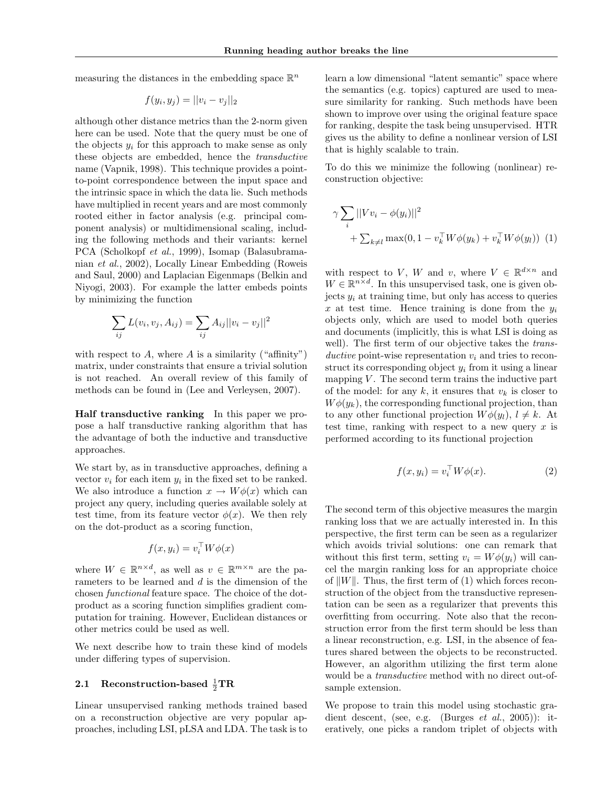measuring the distances in the embedding space  $\mathbb{R}^n$ 

$$
f(y_i, y_j) = ||v_i - v_j||_2
$$

although other distance metrics than the 2-norm given here can be used. Note that the query must be one of the objects  $y_i$  for this approach to make sense as only these objects are embedded, hence the transductive name (Vapnik, 1998). This technique provides a pointto-point correspondence between the input space and the intrinsic space in which the data lie. Such methods have multiplied in recent years and are most commonly rooted either in factor analysis (e.g. principal component analysis) or multidimensional scaling, including the following methods and their variants: kernel PCA (Scholkopf et al., 1999), Isomap (Balasubramanian et al., 2002), Locally Linear Embedding (Roweis and Saul, 2000) and Laplacian Eigenmaps (Belkin and Niyogi, 2003). For example the latter embeds points by minimizing the function

$$
\sum_{ij} L(v_i, v_j, A_{ij}) = \sum_{ij} A_{ij} ||v_i - v_j||^2
$$

with respect to  $A$ , where  $A$  is a similarity ("affinity") matrix, under constraints that ensure a trivial solution is not reached. An overall review of this family of methods can be found in (Lee and Verleysen, 2007).

Half transductive ranking In this paper we propose a half transductive ranking algorithm that has the advantage of both the inductive and transductive approaches.

We start by, as in transductive approaches, defining a vector  $v_i$  for each item  $y_i$  in the fixed set to be ranked. We also introduce a function  $x \to W\phi(x)$  which can project any query, including queries available solely at test time, from its feature vector  $\phi(x)$ . We then rely on the dot-product as a scoring function,

$$
f(x, y_i) = v_i^{\top} W \phi(x)
$$

where  $W \in \mathbb{R}^{n \times d}$ , as well as  $v \in \mathbb{R}^{m \times n}$  are the parameters to be learned and d is the dimension of the chosen functional feature space. The choice of the dotproduct as a scoring function simplifies gradient computation for training. However, Euclidean distances or other metrics could be used as well.

We next describe how to train these kind of models under differing types of supervision.

# 2.1 Reconstruction-based  $\frac{1}{2} \text{TR}$

Linear unsupervised ranking methods trained based on a reconstruction objective are very popular approaches, including LSI, pLSA and LDA. The task is to

learn a low dimensional "latent semantic" space where the semantics (e.g. topics) captured are used to measure similarity for ranking. Such methods have been shown to improve over using the original feature space for ranking, despite the task being unsupervised. HTR gives us the ability to define a nonlinear version of LSI that is highly scalable to train.

To do this we minimize the following (nonlinear) reconstruction objective:

$$
\gamma \sum_{i} ||V v_{i} - \phi(y_{i})||^{2} + \sum_{k \neq l} \max(0, 1 - v_{k}^{\top} W \phi(y_{k}) + v_{k}^{\top} W \phi(y_{l}))
$$
(1)

with respect to V, W and v, where  $V \in \mathbb{R}^{d \times n}$  and  $W \in \mathbb{R}^{n \times d}$ . In this unsupervised task, one is given objects  $y_i$  at training time, but only has access to queries x at test time. Hence training is done from the  $y_i$ objects only, which are used to model both queries and documents (implicitly, this is what LSI is doing as well). The first term of our objective takes the *trans*ductive point-wise representation  $v_i$  and tries to reconstruct its corresponding object  $y_i$  from it using a linear mapping  $V$ . The second term trains the inductive part of the model: for any  $k$ , it ensures that  $v_k$  is closer to  $W\phi(y_k)$ , the corresponding functional projection, than to any other functional projection  $W\phi(y_l)$ ,  $l \neq k$ . At test time, ranking with respect to a new query  $x$  is performed according to its functional projection

$$
f(x, y_i) = v_i^{\top} W \phi(x). \tag{2}
$$

The second term of this objective measures the margin ranking loss that we are actually interested in. In this perspective, the first term can be seen as a regularizer which avoids trivial solutions: one can remark that without this first term, setting  $v_i = W\phi(y_i)$  will cancel the margin ranking loss for an appropriate choice of  $||W||$ . Thus, the first term of (1) which forces reconstruction of the object from the transductive representation can be seen as a regularizer that prevents this overfitting from occurring. Note also that the reconstruction error from the first term should be less than a linear reconstruction, e.g. LSI, in the absence of features shared between the objects to be reconstructed. However, an algorithm utilizing the first term alone would be a transductive method with no direct out-ofsample extension.

We propose to train this model using stochastic gradient descent, (see, e.g. (Burges *et al.*, 2005)): iteratively, one picks a random triplet of objects with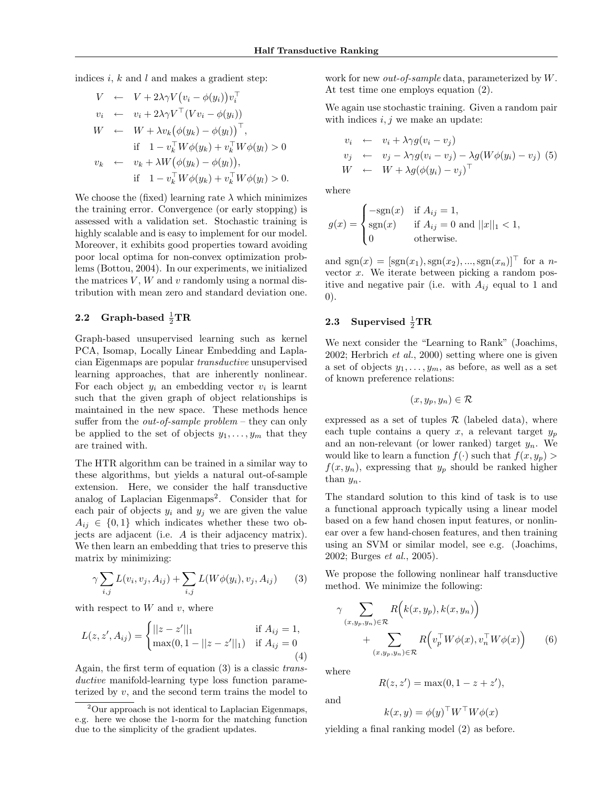indices i,  $k$  and  $l$  and makes a gradient step:

$$
V \leftarrow V + 2\lambda \gamma V (v_i - \phi(y_i)) v_i^{\top}
$$
  
\n
$$
v_i \leftarrow v_i + 2\lambda \gamma V^{\top} (Vv_i - \phi(y_i))
$$
  
\n
$$
W \leftarrow W + \lambda v_k (\phi(y_k) - \phi(y_l))^{\top},
$$
  
\nif  $1 - v_k^{\top} W \phi(y_k) + v_k^{\top} W \phi(y_l) > 0$   
\n
$$
v_k \leftarrow v_k + \lambda W (\phi(y_k) - \phi(y_l)),
$$
  
\nif  $1 - v_k^{\top} W \phi(y_k) + v_k^{\top} W \phi(y_l) > 0.$ 

We choose the (fixed) learning rate  $\lambda$  which minimizes the training error. Convergence (or early stopping) is assessed with a validation set. Stochastic training is highly scalable and is easy to implement for our model. Moreover, it exhibits good properties toward avoiding poor local optima for non-convex optimization problems (Bottou, 2004). In our experiments, we initialized the matrices  $V$ ,  $W$  and  $v$  randomly using a normal distribution with mean zero and standard deviation one.

# 2.2 Graph-based  $\frac{1}{2} \text{TR}$

Graph-based unsupervised learning such as kernel PCA, Isomap, Locally Linear Embedding and Laplacian Eigenmaps are popular transductive unsupervised learning approaches, that are inherently nonlinear. For each object  $y_i$  an embedding vector  $v_i$  is learnt such that the given graph of object relationships is maintained in the new space. These methods hence suffer from the *out-of-sample problem* – they can only be applied to the set of objects  $y_1, \ldots, y_m$  that they are trained with.

The HTR algorithm can be trained in a similar way to these algorithms, but yields a natural out-of-sample extension. Here, we consider the half transductive analog of Laplacian Eigenmaps<sup>2</sup>. Consider that for each pair of objects  $y_i$  and  $y_j$  we are given the value  $A_{ij} \in \{0,1\}$  which indicates whether these two objects are adjacent (i.e. A is their adjacency matrix). We then learn an embedding that tries to preserve this matrix by minimizing:

$$
\gamma \sum_{i,j} L(v_i, v_j, A_{ij}) + \sum_{i,j} L(W\phi(y_i), v_j, A_{ij}) \qquad (3)
$$

with respect to  $W$  and  $v$ , where

$$
L(z, z', A_{ij}) = \begin{cases} ||z - z'||_1 & \text{if } A_{ij} = 1, \\ \max(0, 1 - ||z - z'||_1) & \text{if } A_{ij} = 0 \end{cases}
$$
(4)

Again, the first term of equation (3) is a classic transductive manifold-learning type loss function parameterized by v, and the second term trains the model to work for new *out-of-sample* data, parameterized by W. At test time one employs equation (2).

We again use stochastic training. Given a random pair with indices  $i, j$  we make an update:

$$
v_i \leftarrow v_i + \lambda \gamma g (v_i - v_j)
$$
  
\n
$$
v_j \leftarrow v_j - \lambda \gamma g (v_i - v_j) - \lambda g (W \phi (y_i) - v_j) (5)
$$
  
\n
$$
W \leftarrow W + \lambda g (\phi (y_i) - v_j)^\top
$$

where

$$
g(x) = \begin{cases} -\text{sgn}(x) & \text{if } A_{ij} = 1, \\ \text{sgn}(x) & \text{if } A_{ij} = 0 \text{ and } ||x||_1 < 1, \\ 0 & \text{otherwise.} \end{cases}
$$

and  $sgn(x) = [sgn(x_1), sgn(x_2), ..., sgn(x_n)]^{\top}$  for a nvector  $x$ . We iterate between picking a random positive and negative pair (i.e. with  $A_{ij}$  equal to 1 and 0).

# 2.3 Supervised  $\frac{1}{2} \text{TR}$

We next consider the "Learning to Rank" (Joachims, 2002; Herbrich et al., 2000) setting where one is given a set of objects  $y_1, \ldots, y_m$ , as before, as well as a set of known preference relations:

$$
(x,y_p,y_n)\in\mathcal{R}
$$

expressed as a set of tuples  $\mathcal R$  (labeled data), where each tuple contains a query x, a relevant target  $y_p$ and an non-relevant (or lower ranked) target  $y_n$ . We would like to learn a function  $f(\cdot)$  such that  $f(x, y_p)$  $f(x, y_n)$ , expressing that  $y_p$  should be ranked higher than  $y_n$ .

The standard solution to this kind of task is to use a functional approach typically using a linear model based on a few hand chosen input features, or nonlinear over a few hand-chosen features, and then training using an SVM or similar model, see e.g. (Joachims, 2002; Burges et al., 2005).

We propose the following nonlinear half transductive method. We minimize the following:

$$
\gamma \sum_{(x,y_p,y_n)\in\mathcal{R}} R(k(x,y_p),k(x,y_n)) + \sum_{(x,y_p,y_n)\in\mathcal{R}} R(v_p^{\top}W\phi(x),v_n^{\top}W\phi(x)) \qquad (6)
$$

where

$$
R(z, z') = \max(0, 1 - z + z'),
$$

and

$$
k(x, y) = \phi(y)^\top W^\top W \phi(x)
$$

yielding a final ranking model (2) as before.

<sup>2</sup>Our approach is not identical to Laplacian Eigenmaps, e.g. here we chose the 1-norm for the matching function due to the simplicity of the gradient updates.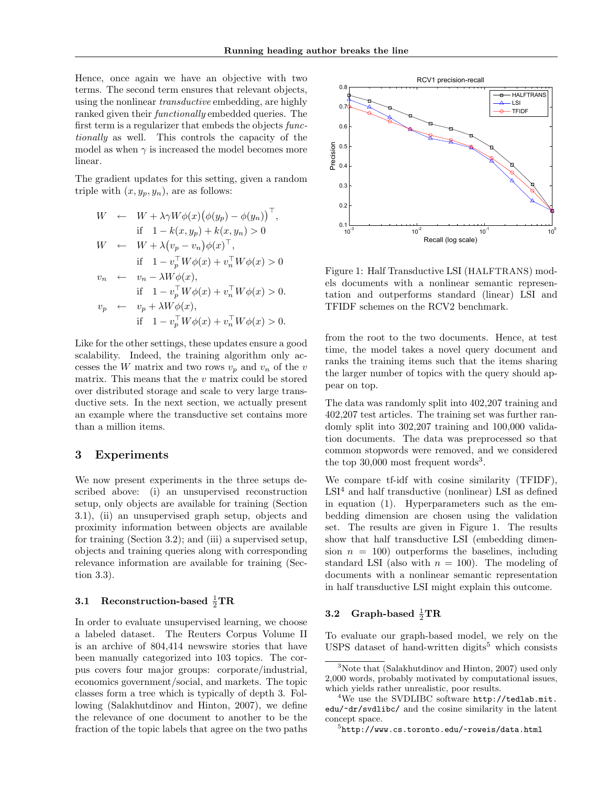Hence, once again we have an objective with two terms. The second term ensures that relevant objects, using the nonlinear transductive embedding, are highly ranked given their functionally embedded queries. The first term is a regularizer that embeds the objects functionally as well. This controls the capacity of the model as when  $\gamma$  is increased the model becomes more linear.

The gradient updates for this setting, given a random triple with  $(x, y_p, y_n)$ , are as follows:

$$
W \leftarrow W + \lambda \gamma W \phi(x) (\phi(y_p) - \phi(y_n))^\top,
$$
  
\nif  $1 - k(x, y_p) + k(x, y_n) > 0$   
\n
$$
W \leftarrow W + \lambda (v_p - v_n) \phi(x)^\top,
$$
  
\nif  $1 - v_p^\top W \phi(x) + v_n^\top W \phi(x) > 0$   
\n
$$
v_n \leftarrow v_n - \lambda W \phi(x),
$$
  
\nif  $1 - v_p^\top W \phi(x) + v_n^\top W \phi(x) > 0$ .  
\n
$$
v_p \leftarrow v_p + \lambda W \phi(x),
$$
  
\nif  $1 - v_p^\top W \phi(x) + v_n^\top W \phi(x) > 0$ .

Like for the other settings, these updates ensure a good scalability. Indeed, the training algorithm only accesses the W matrix and two rows  $v_p$  and  $v_n$  of the v matrix. This means that the  $v$  matrix could be stored over distributed storage and scale to very large transductive sets. In the next section, we actually present an example where the transductive set contains more than a million items.

#### 3 Experiments

We now present experiments in the three setups described above: (i) an unsupervised reconstruction setup, only objects are available for training (Section 3.1), (ii) an unsupervised graph setup, objects and proximity information between objects are available for training (Section 3.2); and (iii) a supervised setup, objects and training queries along with corresponding relevance information are available for training (Section 3.3).

# 3.1 Reconstruction-based  $\frac{1}{2} \text{TR}$

In order to evaluate unsupervised learning, we choose a labeled dataset. The Reuters Corpus Volume II is an archive of 804,414 newswire stories that have been manually categorized into 103 topics. The corpus covers four major groups: corporate/industrial, economics government/social, and markets. The topic classes form a tree which is typically of depth 3. Following (Salakhutdinov and Hinton, 2007), we define the relevance of one document to another to be the fraction of the topic labels that agree on the two paths



Figure 1: Half Transductive LSI (HALFTRANS) models documents with a nonlinear semantic representation and outperforms standard (linear) LSI and TFIDF schemes on the RCV2 benchmark.

from the root to the two documents. Hence, at test time, the model takes a novel query document and ranks the training items such that the items sharing the larger number of topics with the query should appear on top.

The data was randomly split into 402,207 training and 402,207 test articles. The training set was further randomly split into 302,207 training and 100,000 validation documents. The data was preprocessed so that common stopwords were removed, and we considered the top  $30,000$  most frequent words<sup>3</sup>.

We compare tf-idf with cosine similarity (TFIDF),  $LSI<sup>4</sup>$  and half transductive (nonlinear) LSI as defined in equation (1). Hyperparameters such as the embedding dimension are chosen using the validation set. The results are given in Figure 1. The results show that half transductive LSI (embedding dimension  $n = 100$ ) outperforms the baselines, including standard LSI (also with  $n = 100$ ). The modeling of documents with a nonlinear semantic representation in half transductive LSI might explain this outcome.

# 3.2 Graph-based  $\frac{1}{2} \text{TR}$

To evaluate our graph-based model, we rely on the USPS dataset of hand-written digits<sup>5</sup> which consists

<sup>&</sup>lt;sup>3</sup>Note that (Salakhutdinov and Hinton, 2007) used only 2,000 words, probably motivated by computational issues, which yields rather unrealistic, poor results.

 $4$ We use the SVDLIBC software  $http://tedlab.mit.$ edu/~dr/svdlibc/ and the cosine similarity in the latent concept space.

 $5$ http://www.cs.toronto.edu/~roweis/data.html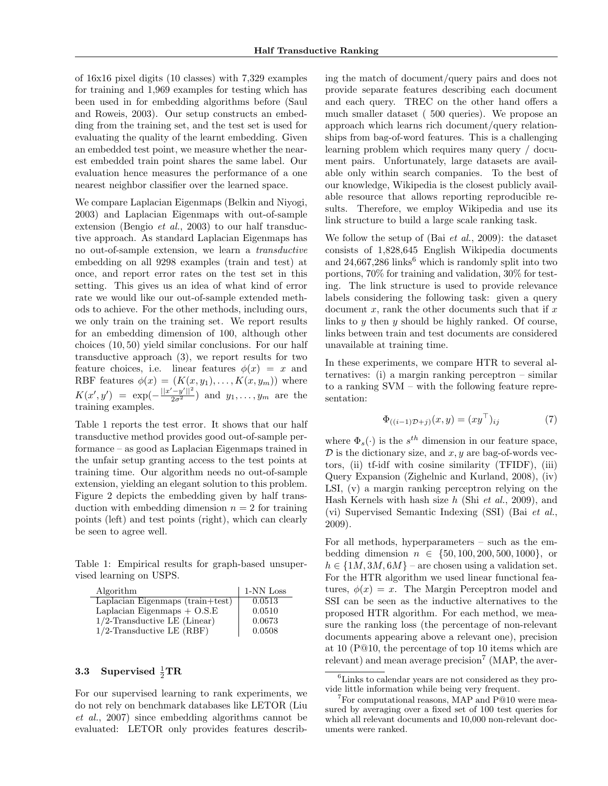of 16x16 pixel digits (10 classes) with 7,329 examples for training and 1,969 examples for testing which has been used in for embedding algorithms before (Saul and Roweis, 2003). Our setup constructs an embedding from the training set, and the test set is used for evaluating the quality of the learnt embedding. Given an embedded test point, we measure whether the nearest embedded train point shares the same label. Our evaluation hence measures the performance of a one nearest neighbor classifier over the learned space.

We compare Laplacian Eigenmaps (Belkin and Niyogi, 2003) and Laplacian Eigenmaps with out-of-sample extension (Bengio et al., 2003) to our half transductive approach. As standard Laplacian Eigenmaps has no out-of-sample extension, we learn a transductive embedding on all 9298 examples (train and test) at once, and report error rates on the test set in this setting. This gives us an idea of what kind of error rate we would like our out-of-sample extended methods to achieve. For the other methods, including ours, we only train on the training set. We report results for an embedding dimension of 100, although other choices (10, 50) yield similar conclusions. For our half transductive approach (3), we report results for two feature choices, i.e. linear features  $\phi(x) = x$  and RBF features  $\phi(x) = (K(x, y_1), \dots, K(x, y_m))$  where  $K(x', y') = \exp(-\frac{||x'-y'||^2}{2\sigma^2})$  and  $y_1, \ldots, y_m$  are the training examples.

Table 1 reports the test error. It shows that our half transductive method provides good out-of-sample performance – as good as Laplacian Eigenmaps trained in the unfair setup granting access to the test points at training time. Our algorithm needs no out-of-sample extension, yielding an elegant solution to this problem. Figure 2 depicts the embedding given by half transduction with embedding dimension  $n = 2$  for training points (left) and test points (right), which can clearly be seen to agree well.

Table 1: Empirical results for graph-based unsupervised learning on USPS.

| Algorithm                            | 1-NN Loss |
|--------------------------------------|-----------|
| Laplacian Eigenmaps $(train + test)$ | 0.0513    |
| Laplacian Eigenmaps $+$ O.S.E        | 0.0510    |
| $1/2$ -Transductive LE (Linear)      | 0.0673    |
| $1/2$ -Transductive LE (RBF)         | 0.0508    |

# 3.3 Supervised  $\frac{1}{2} \text{TR}$

For our supervised learning to rank experiments, we do not rely on benchmark databases like LETOR (Liu et al., 2007) since embedding algorithms cannot be evaluated: LETOR only provides features describ-

ing the match of document/query pairs and does not provide separate features describing each document and each query. TREC on the other hand offers a much smaller dataset ( 500 queries). We propose an approach which learns rich document/query relationships from bag-of-word features. This is a challenging learning problem which requires many query / document pairs. Unfortunately, large datasets are available only within search companies. To the best of our knowledge, Wikipedia is the closest publicly available resource that allows reporting reproducible results. Therefore, we employ Wikipedia and use its link structure to build a large scale ranking task.

We follow the setup of (Bai et al., 2009): the dataset consists of 1,828,645 English Wikipedia documents and  $24,667,286$  links<sup>6</sup> which is randomly split into two portions, 70% for training and validation, 30% for testing. The link structure is used to provide relevance labels considering the following task: given a query document  $x$ , rank the other documents such that if  $x$ links to y then y should be highly ranked. Of course, links between train and test documents are considered unavailable at training time.

In these experiments, we compare HTR to several alternatives: (i) a margin ranking perceptron – similar to a ranking SVM – with the following feature representation:

$$
\Phi_{((i-1)\mathcal{D}+j)}(x,y) = (xy^\top)_{ij} \tag{7}
$$

where  $\Phi_s(\cdot)$  is the  $s^{th}$  dimension in our feature space,  $\mathcal D$  is the dictionary size, and  $x, y$  are bag-of-words vectors, (ii) tf-idf with cosine similarity (TFIDF), (iii) Query Expansion (Zighelnic and Kurland, 2008), (iv) LSI, (v) a margin ranking perceptron relying on the Hash Kernels with hash size  $h$  (Shi *et al.*, 2009), and (vi) Supervised Semantic Indexing (SSI) (Bai et al., 2009).

For all methods, hyperparameters – such as the embedding dimension  $n \in \{50, 100, 200, 500, 1000\}$ , or  $h \in \{1M, 3M, 6M\}$  – are chosen using a validation set. For the HTR algorithm we used linear functional features,  $\phi(x) = x$ . The Margin Perceptron model and SSI can be seen as the inductive alternatives to the proposed HTR algorithm. For each method, we measure the ranking loss (the percentage of non-relevant documents appearing above a relevant one), precision at 10 (P@10, the percentage of top 10 items which are relevant) and mean average precision<sup>7</sup> (MAP, the aver-

<sup>&</sup>lt;sup>6</sup>Links to calendar years are not considered as they provide little information while being very frequent.

 $7$ For computational reasons, MAP and P@10 were measured by averaging over a fixed set of 100 test queries for which all relevant documents and 10,000 non-relevant documents were ranked.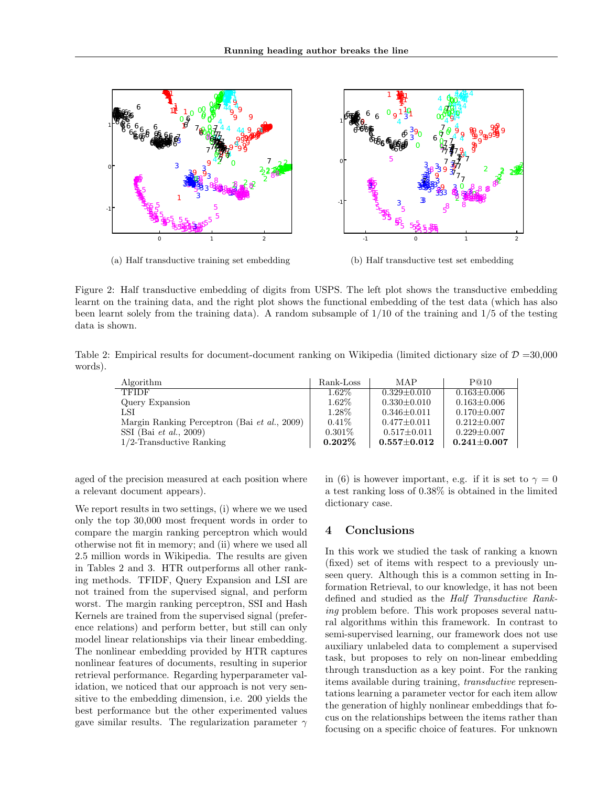

(a) Half transductive training set embedding

(b) Half transductive test set embedding

Figure 2: Half transductive embedding of digits from USPS. The left plot shows the transductive embedding learnt on the training data, and the right plot shows the functional embedding of the test data (which has also been learnt solely from the training data). A random subsample of 1/10 of the training and 1/5 of the testing data is shown.

Table 2: Empirical results for document-document ranking on Wikipedia (limited dictionary size of  $\mathcal{D} = 30,000$ ) words).

| Algorithm                                    | Rank-Loss | MAP                 | P@10              |
|----------------------------------------------|-----------|---------------------|-------------------|
| <b>TFIDF</b>                                 | $1.62\%$  | $0.329 \pm 0.010$   | $0.163 \pm 0.006$ |
| Query Expansion                              | $1.62\%$  | $0.330 \pm 0.010$   | $0.163 \pm 0.006$ |
| LSI                                          | 1.28\%    | $0.346 \pm 0.011$   | $0.170 \pm 0.007$ |
| Margin Ranking Perceptron (Bai et al., 2009) | $0.41\%$  | $0.477 \pm 0.011$   | $0.212 \pm 0.007$ |
| SSI (Bai <i>et al.</i> , 2009)               | $0.301\%$ | $0.517 \pm 0.011$   | $0.229 \pm 0.007$ |
| $1/2$ -Transductive Ranking                  | $0.202\%$ | $0.557 {\pm} 0.012$ | $0.241 \pm 0.007$ |

aged of the precision measured at each position where a relevant document appears).

We report results in two settings, (i) where we we used only the top 30,000 most frequent words in order to compare the margin ranking perceptron which would otherwise not fit in memory; and (ii) where we used all 2.5 million words in Wikipedia. The results are given in Tables 2 and 3. HTR outperforms all other ranking methods. TFIDF, Query Expansion and LSI are not trained from the supervised signal, and perform worst. The margin ranking perceptron, SSI and Hash Kernels are trained from the supervised signal (preference relations) and perform better, but still can only model linear relationships via their linear embedding. The nonlinear embedding provided by HTR captures nonlinear features of documents, resulting in superior retrieval performance. Regarding hyperparameter validation, we noticed that our approach is not very sensitive to the embedding dimension, i.e. 200 yields the best performance but the other experimented values gave similar results. The regularization parameter  $\gamma$ 

in (6) is however important, e.g. if it is set to  $\gamma = 0$ a test ranking loss of 0.38% is obtained in the limited dictionary case.

### 4 Conclusions

In this work we studied the task of ranking a known (fixed) set of items with respect to a previously unseen query. Although this is a common setting in Information Retrieval, to our knowledge, it has not been defined and studied as the Half Transductive Ranking problem before. This work proposes several natural algorithms within this framework. In contrast to semi-supervised learning, our framework does not use auxiliary unlabeled data to complement a supervised task, but proposes to rely on non-linear embedding through transduction as a key point. For the ranking items available during training, transductive representations learning a parameter vector for each item allow the generation of highly nonlinear embeddings that focus on the relationships between the items rather than focusing on a specific choice of features. For unknown